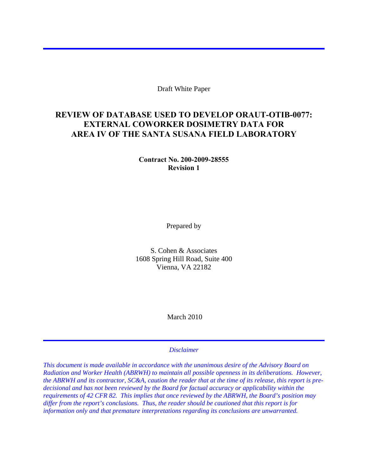Draft White Paper

## **REVIEW OF DATABASE USED TO DEVELOP ORAUT-OTIB-0077: EXTERNAL COWORKER DOSIMETRY DATA FOR AREA IV OF THE SANTA SUSANA FIELD LABORATORY**

**Contract No. 200-2009-28555 Revision 1** 

Prepared by

S. Cohen & Associates 1608 Spring Hill Road, Suite 400 Vienna, VA 22182

March 2010

#### *Disclaimer*

*This document is made available in accordance with the unanimous desire of the Advisory Board on Radiation and Worker Health (ABRWH) to maintain all possible openness in its deliberations. However, the ABRWH and its contractor, SC&A, caution the reader that at the time of its release, this report is predecisional and has not been reviewed by the Board for factual accuracy or applicability within the requirements of 42 CFR 82. This implies that once reviewed by the ABRWH, the Board's position may differ from the report's conclusions. Thus, the reader should be cautioned that this report is for information only and that premature interpretations regarding its conclusions are unwarranted.*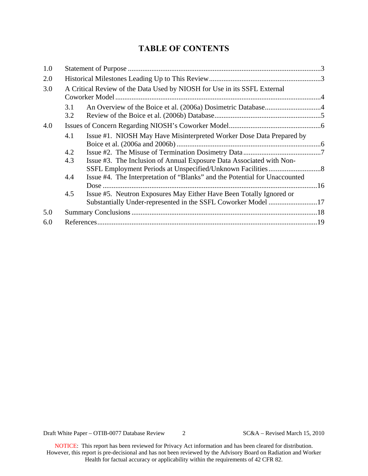# **TABLE OF CONTENTS**

| 1.0 |                                                                          |                                                                                                                                      |  |  |  |  |
|-----|--------------------------------------------------------------------------|--------------------------------------------------------------------------------------------------------------------------------------|--|--|--|--|
| 2.0 |                                                                          |                                                                                                                                      |  |  |  |  |
| 3.0 | A Critical Review of the Data Used by NIOSH for Use in its SSFL External |                                                                                                                                      |  |  |  |  |
|     | 3.1<br>3.2                                                               |                                                                                                                                      |  |  |  |  |
| 4.0 |                                                                          |                                                                                                                                      |  |  |  |  |
|     | 4.1                                                                      | Issue #1. NIOSH May Have Misinterpreted Worker Dose Data Prepared by                                                                 |  |  |  |  |
|     | 4.2                                                                      |                                                                                                                                      |  |  |  |  |
|     | 4.3                                                                      | Issue #3. The Inclusion of Annual Exposure Data Associated with Non-                                                                 |  |  |  |  |
|     | 4.4                                                                      | Issue #4. The Interpretation of "Blanks" and the Potential for Unaccounted                                                           |  |  |  |  |
|     | 4.5                                                                      | Issue #5. Neutron Exposures May Either Have Been Totally Ignored or<br>Substantially Under-represented in the SSFL Coworker Model 17 |  |  |  |  |
| 5.0 |                                                                          |                                                                                                                                      |  |  |  |  |
| 6.0 |                                                                          |                                                                                                                                      |  |  |  |  |
|     |                                                                          |                                                                                                                                      |  |  |  |  |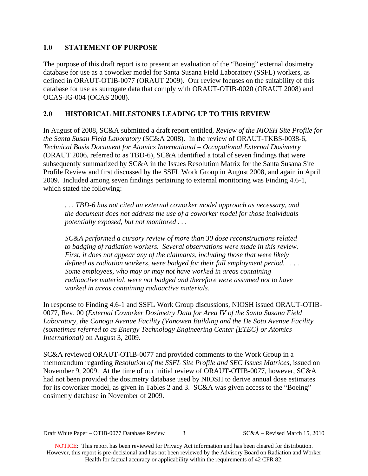#### <span id="page-2-0"></span>**1.0 STATEMENT OF PURPOSE**

The purpose of this draft report is to present an evaluation of the "Boeing" external dosimetry database for use as a coworker model for Santa Susana Field Laboratory (SSFL) workers, as defined in ORAUT-OTIB-0077 (ORAUT 2009). Our review focuses on the suitability of this database for use as surrogate data that comply with ORAUT-OTIB-0020 (ORAUT 2008) and OCAS-IG-004 (OCAS 2008).

### <span id="page-2-1"></span>**2.0 HISTORICAL MILESTONES LEADING UP TO THIS REVIEW**

In August of 2008, SC&A submitted a draft report entitled, *Review of the NIOSH Site Profile for the Santa Susan Field Laboratory* (SC&A 2008). In the review of ORAUT-TKBS-0038-6, *Technical Basis Document for Atomics International – Occupational External Dosimetry* (ORAUT 2006, referred to as TBD-6), SC&A identified a total of seven findings that were subsequently summarized by SC&A in the Issues Resolution Matrix for the Santa Susana Site Profile Review and first discussed by the SSFL Work Group in August 2008, and again in April 2009. Included among seven findings pertaining to external monitoring was Finding 4.6-1, which stated the following:

*. . . TBD-6 has not cited an external coworker model approach as necessary, and the document does not address the use of a coworker model for those individuals potentially exposed, but not monitored . . .* 

*SC&A performed a cursory review of more than 30 dose reconstructions related to badging of radiation workers. Several observations were made in this review. First, it does not appear any of the claimants, including those that were likely defined as radiation workers, were badged for their full employment period. . . . Some employees, who may or may not have worked in areas containing radioactive material, were not badged and therefore were assumed not to have worked in areas containing radioactive materials.* 

In response to Finding 4.6-1 and SSFL Work Group discussions, NIOSH issued ORAUT-OTIB-0077, Rev. 00 (*External Coworker Dosimetry Data for Area IV of the Santa Susana Field Laboratory, the Canoga Avenue Facility (Vanowen Building and the De Soto Avenue Facility (sometimes referred to as Energy Technology Engineering Center [ETEC] or Atomics International)* on August 3, 2009.

SC&A reviewed ORAUT-OTIB-0077 and provided comments to the Work Group in a memorandum regarding *Resolution of the SSFL Site Profile and SEC Issues Matrices*, issued on November 9, 2009. At the time of our initial review of ORAUT-OTIB-0077, however, SC&A had not been provided the dosimetry database used by NIOSH to derive annual dose estimates for its coworker model, as given in Tables 2 and 3. SC&A was given access to the "Boeing" dosimetry database in November of 2009.

Draft White Paper – OTIB-0077 Database Review 3 SC&A – Revised March 15, 2010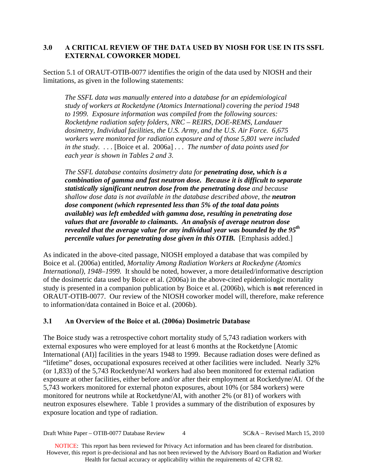### <span id="page-3-0"></span>**3.0 A CRITICAL REVIEW OF THE DATA USED BY NIOSH FOR USE IN ITS SSFL EXTERNAL COWORKER MODEL**

Section 5.1 of ORAUT-OTIB-0077 identifies the origin of the data used by NIOSH and their limitations, as given in the following statements:

*The SSFL data was manually entered into a database for an epidemiological study of workers at Rocketdyne (Atomics International) covering the period 1948 to 1999. Exposure information was compiled from the following sources: Rocketdyne radiation safety folders, NRC – REIRS, DOE-REMS, Landauer dosimetry, Individual facilities, the U.S. Army, and the U.S. Air Force. 6,675 workers were monitored for radiation exposure and of those 5,801 were included in the study. . . .* [Boice et al. 2006a] *. . . The number of data points used for each year is shown in Tables 2 and 3.* 

*The SSFL database contains dosimetry data for penetrating dose, which is a combination of gamma and fast neutron dose. Because it is difficult to separate statistically significant neutron dose from the penetrating dose and because shallow dose data is not available in the database described above, the neutron dose component (which represented less than 5% of the total data points available) was left embedded with gamma dose, resulting in penetrating dose values that are favorable to claimants. An analysis of average neutron dose revealed that the average value for any individual year was bounded by the 95th percentile values for penetrating dose given in this OTIB.* [Emphasis added.]

As indicated in the above-cited passage, NIOSH employed a database that was compiled by Boice et al. (2006a) entitled, *Mortality Among Radiation Workers at Rockedyne (Atomics International), 1948–1999.* It should be noted, however, a more detailed/informative description of the dosimetric data used by Boice et al. (2006a) in the above-cited epidemiologic mortality study is presented in a companion publication by Boice et al. (2006b), which is **not** referenced in ORAUT-OTIB-0077. Our review of the NIOSH coworker model will, therefore, make reference to information/data contained in Boice et al. (2006b).

### <span id="page-3-1"></span>**3.1 An Overview of the Boice et al. (2006a) Dosimetric Database**

The Boice study was a retrospective cohort mortality study of 5,743 radiation workers with external exposures who were employed for at least 6 months at the Rocketdyne [Atomic International (AI)] facilities in the years 1948 to 1999. Because radiation doses were defined as "lifetime" doses, occupational exposures received at other facilities were included. Nearly 32% (or 1,833) of the 5,743 Rocketdyne/AI workers had also been monitored for external radiation exposure at other facilities, either before and/or after their employment at Rocketdyne/AI. Of the 5,743 workers monitored for external photon exposures, about 10% (or 584 workers) were monitored for neutrons while at Rocketdyne/AI, with another 2% (or 81) of workers with neutron exposures elsewhere. Table 1 provides a summary of the distribution of exposures by exposure location and type of radiation.

Draft White Paper – OTIB-0077 Database Review 4 SC&A – Revised March 15, 2010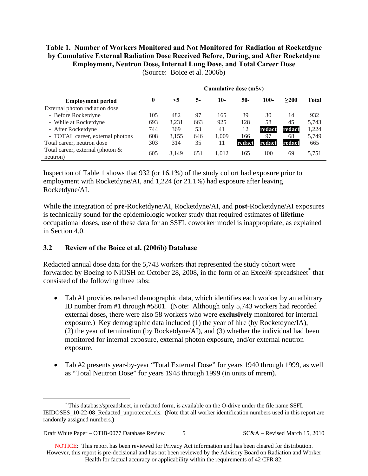# **Table 1. Number of Workers Monitored and Not Monitored for Radiation at Rocketdyne by Cumulative External Radiation Dose Received Before, During, and After Rocketdyne Employment, Neutron Dose, Internal Lung Dose, and Total Career Dose**

|                                              | <b>Cumulative dose (mSv)</b> |          |     |       |        |        |        |       |
|----------------------------------------------|------------------------------|----------|-----|-------|--------|--------|--------|-------|
| <b>Employment period</b>                     | 0                            | $\leq 5$ | 5-  | 10-   | 50-    | 100-   | >200   | Total |
| External photon radiation dose               |                              |          |     |       |        |        |        |       |
| - Before Rocketdyne                          | 105                          | 482      | 97  | 165   | 39     | 30     | 14     | 932   |
| - While at Rocketdyne                        | 693                          | 3,231    | 663 | 925   | 128    | 58     | 45     | 5.743 |
| - After Rocketdyne                           | 744                          | 369      | 53  | 41    | 12     | redact | redact | 1,224 |
| - TOTAL career, external photons             | 608                          | 3.155    | 646 | 1.009 | 166    | 97     | 68     | 5,749 |
| Total career, neutron dose                   | 303                          | 314      | 35  | 11    | redact | redact | redact | 665   |
| Total career, external (photon &<br>neutron) | 605                          | 3.149    | 651 | 1.012 | 165    | 100    | 69     | 5,751 |

(Source: Boice et al. 2006b)

Inspection of Table 1 shows that 932 (or 16.1%) of the study cohort had exposure prior to employment with Rocketdyne/AI, and 1,224 (or 21.1%) had exposure after leaving Rocketdyne/AI.

While the integration of **pre-**Rocketdyne/AI, Rocketdyne/AI, and **post**-Rocketdyne/AI exposures is technically sound for the epidemiologic worker study that required estimates of **lifetime** occupational doses, use of these data for an SSFL coworker model is inappropriate, as explained in Section 4.0.

### <span id="page-4-0"></span>**3.2 Review of the Boice et al. (2006b) Database**

Redacted annual dose data for the 5,743 workers that represented the study cohort were forwarded by Boeing to NIOSH on October 28, 2008, in the form of an Excel® spreadsheet[\\*](#page-4-1) that consisted of the following three tabs:

- Tab #1 provides redacted demographic data, which identifies each worker by an arbitrary ID number from #1 through #5801. (Note: Although only 5,743 workers had recorded external doses, there were also 58 workers who were **exclusively** monitored for internal exposure.) Key demographic data included (1) the year of hire (by Rocketdyne/IA), (2) the year of termination (by Rocketdyne/AI), and (3) whether the individual had been monitored for internal exposure, external photon exposure, and/or external neutron exposure.
- Tab #2 presents year-by-year "Total External Dose" for years 1940 through 1999, as well as "Total Neutron Dose" for years 1948 through 1999 (in units of mrem).

<span id="page-4-1"></span> <sup>\*</sup> This database/spreadsheet, in redacted form, is available on the O-drive under the file name SSFL IEIDOSES 10-22-08 Redacted unprotected.xls. (Note that all worker identification numbers used in this report are randomly assigned numbers.)

Draft White Paper – OTIB-0077 Database Review 5 SC&A – Revised March 15, 2010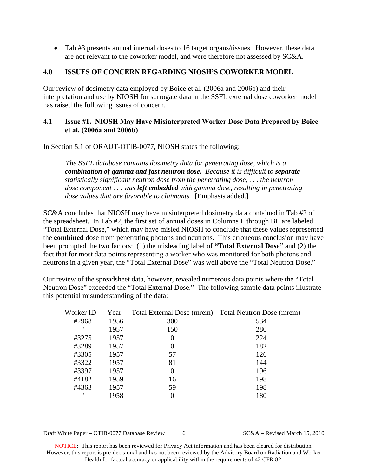• Tab #3 presents annual internal doses to 16 target organs/tissues. However, these data are not relevant to the coworker model, and were therefore not assessed by SC&A.

#### <span id="page-5-0"></span>**4.0 ISSUES OF CONCERN REGARDING NIOSH'S COWORKER MODEL**

Our review of dosimetry data employed by Boice et al. (2006a and 2006b) and their interpretation and use by NIOSH for surrogate data in the SSFL external dose coworker model has raised the following issues of concern.

#### <span id="page-5-1"></span>**4.1 Issue #1. NIOSH May Have Misinterpreted Worker Dose Data Prepared by Boice et al. (2006a and 2006b)**

In Section 5.1 of ORAUT-OTIB-0077, NIOSH states the following:

*The SSFL database contains dosimetry data for penetrating dose, which is a combination of gamma and fast neutron dose. Because it is difficult to separate statistically significant neutron dose from the penetrating dose, . . . the neutron dose component . . . was left embedded with gamma dose, resulting in penetrating dose values that are favorable to claimants.* [Emphasis added.]

SC&A concludes that NIOSH may have misinterpreted dosimetry data contained in Tab #2 of the spreadsheet. In Tab #2, the first set of annual doses in Columns E through BL are labeled "Total External Dose," which may have misled NIOSH to conclude that these values represented the **combined** dose from penetrating photons and neutrons. This erroneous conclusion may have been prompted the two factors: (1) the misleading label of **"Total External Dose"** and (2) the fact that for most data points representing a worker who was monitored for both photons and neutrons in a given year, the "Total External Dose" was well above the "Total Neutron Dose."

Our review of the spreadsheet data, however, revealed numerous data points where the "Total Neutron Dose" exceeded the "Total External Dose." The following sample data points illustrate this potential misunderstanding of the data:

| Worker ID         | Year | Total External Dose (mrem) Total Neutron Dose (mrem) |     |
|-------------------|------|------------------------------------------------------|-----|
| #2968             | 1956 | 300                                                  | 534 |
| "                 | 1957 | 150                                                  | 280 |
| #3275             | 1957 | $\theta$                                             | 224 |
| #3289             | 1957 | $\theta$                                             | 182 |
| #3305             | 1957 | 57                                                   | 126 |
| #3322             | 1957 | 81                                                   | 144 |
| #3397             | 1957 | $\Omega$                                             | 196 |
| #4182             | 1959 | 16                                                   | 198 |
| #4363             | 1957 | 59                                                   | 198 |
| $^{\prime\prime}$ | 1958 |                                                      | 180 |

Draft White Paper – OTIB-0077 Database Review 6 SC&A – Revised March 15, 2010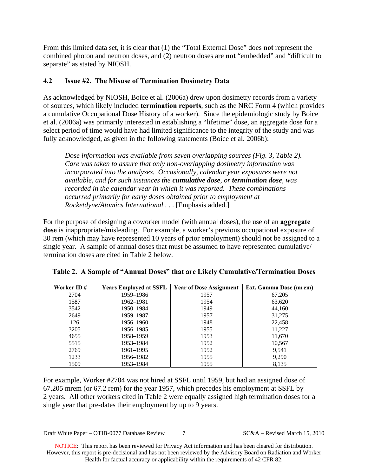From this limited data set, it is clear that (1) the "Total External Dose" does **not** represent the combined photon and neutron doses, and (2) neutron doses are **not** "embedded" and "difficult to separate" as stated by NIOSH.

### <span id="page-6-0"></span>**4.2 Issue #2. The Misuse of Termination Dosimetry Data**

As acknowledged by NIOSH, Boice et al. (2006a) drew upon dosimetry records from a variety of sources, which likely included **termination reports**, such as the NRC Form 4 (which provides a cumulative Occupational Dose History of a worker). Since the epidemiologic study by Boice et al. (2006a) was primarily interested in establishing a "lifetime" dose, an aggregate dose for a select period of time would have had limited significance to the integrity of the study and was fully acknowledged, as given in the following statements (Boice et al. 2006b):

*Dose information was available from seven overlapping sources (Fig. 3, Table 2). Care was taken to assure that only non-overlapping dosimetry information was incorporated into the analyses. Occasionally, calendar year exposures were not available, and for such instances the cumulative dose, or termination dose, was recorded in the calendar year in which it was reported. These combinations occurred primarily for early doses obtained prior to employment at Rocketdyne/Atomics International* . . . [Emphasis added.]

For the purpose of designing a coworker model (with annual doses), the use of an **aggregate dose** is inappropriate/misleading. For example, a worker's previous occupational exposure of 30 rem (which may have represented 10 years of prior employment) should not be assigned to a single year. A sample of annual doses that must be assumed to have represented cumulative/ termination doses are cited in Table 2 below.

| Worker ID# | <b>Years Employed at SSFL</b> | <b>Year of Dose Assignment</b> | <b>Ext. Gamma Dose (mrem)</b> |
|------------|-------------------------------|--------------------------------|-------------------------------|
| 2704       | 1959–1986                     | 1957                           | 67,205                        |
| 1587       | 1962–1981                     | 1954                           | 63,620                        |
| 3542       | 1950–1984                     | 1949                           | 44,160                        |
| 2649       | 1959–1987                     | 1957                           | 31,275                        |
| 126        | 1956-1960                     | 1948                           | 22,458                        |
| 3205       | 1956–1985                     | 1955                           | 11,227                        |
| 4655       | 1958–1959                     | 1953                           | 11,670                        |
| 5515       | 1953–1984                     | 1952                           | 10,567                        |
| 2769       | 1961–1995                     | 1952                           | 9,541                         |
| 1233       | 1956–1982                     | 1955                           | 9,290                         |
| 1509       | 1953–1984                     | 1955                           | 8,135                         |

For example, Worker #2704 was not hired at SSFL until 1959, but had an assigned dose of 67,205 mrem (or 67.2 rem) for the year 1957, which precedes his employment at SSFL by 2 years. All other workers cited in Table 2 were equally assigned high termination doses for a single year that pre-dates their employment by up to 9 years.

Draft White Paper – OTIB-0077 Database Review 7 SC&A – Revised March 15, 2010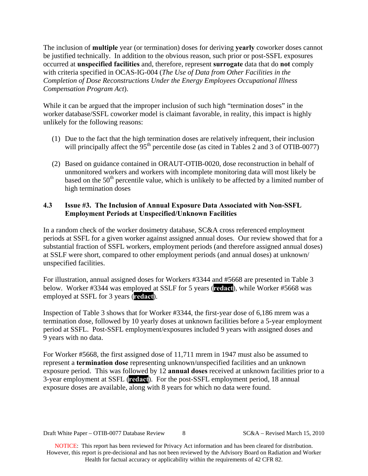The inclusion of **multiple** year (or termination) doses for deriving **yearly** coworker doses cannot be justified technically. In addition to the obvious reason, such prior or post-SSFL exposures occurred at **unspecified facilities** and, therefore, represent **surrogate** data that do **not** comply with criteria specified in OCAS-IG-004 (*The Use of Data from Other Facilities in the Completion of Dose Reconstructions Under the Energy Employees Occupational Illness Compensation Program Act*).

While it can be argued that the improper inclusion of such high "termination doses" in the worker database/SSFL coworker model is claimant favorable, in reality, this impact is highly unlikely for the following reasons:

- (1) Due to the fact that the high termination doses are relatively infrequent, their inclusion will principally affect the 95<sup>th</sup> percentile dose (as cited in Tables 2 and 3 of OTIB-0077)
- (2) Based on guidance contained in ORAUT-OTIB-0020, dose reconstruction in behalf of unmonitored workers and workers with incomplete monitoring data will most likely be based on the  $50<sup>th</sup>$  percentile value, which is unlikely to be affected by a limited number of high termination doses

### <span id="page-7-0"></span>**4.3 Issue #3. The Inclusion of Annual Exposure Data Associated with Non-SSFL Employment Periods at Unspecified/Unknown Facilities**

In a random check of the worker dosimetry database, SC&A cross referenced employment periods at SSFL for a given worker against assigned annual doses. Our review showed that for a substantial fraction of SSFL workers, employment periods (and therefore assigned annual doses) at SSLF were short, compared to other employment periods (and annual doses) at unknown/ unspecified facilities.

For illustration, annual assigned doses for Workers #3344 and #5668 are presented in Table 3 below. Worker #3344 was employed at SSLF for 5 years (**redact**), while Worker #5668 was employed at SSFL for 3 years (**redact**).

Inspection of Table 3 shows that for Worker #3344, the first-year dose of 6,186 mrem was a termination dose, followed by 10 yearly doses at unknown facilities before a 5-year employment period at SSFL. Post-SSFL employment/exposures included 9 years with assigned doses and 9 years with no data.

For Worker #5668, the first assigned dose of 11,711 mrem in 1947 must also be assumed to represent a **termination dose** representing unknown/unspecified facilities and an unknown exposure period. This was followed by 12 **annual doses** received at unknown facilities prior to a 3-year employment at SSFL (**redact**). For the post-SSFL employment period, 18 annual exposure doses are available, along with 8 years for which no data were found.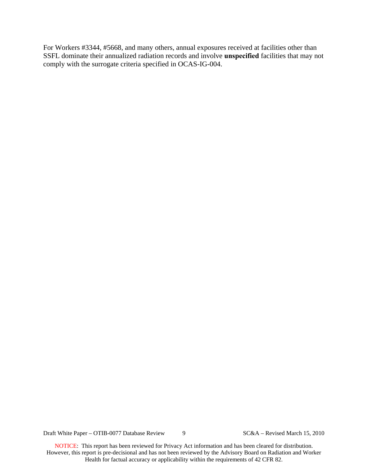For Workers #3344, #5668, and many others, annual exposures received at facilities other than SSFL dominate their annualized radiation records and involve **unspecified** facilities that may not comply with the surrogate criteria specified in OCAS-IG-004.

Draft White Paper – OTIB-0077 Database Review 9 SC&A – Revised March 15, 2010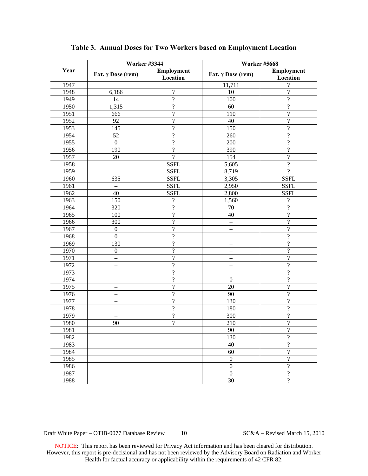|      | <b>Worker #3344</b>      |                          | <b>Worker #5668</b>      |                          |  |
|------|--------------------------|--------------------------|--------------------------|--------------------------|--|
| Year | Ext. $\gamma$ Dose (rem) | Employment<br>Location   | Ext. $\gamma$ Dose (rem) | Employment<br>Location   |  |
| 1947 |                          |                          | 11,711                   | ?                        |  |
| 1948 | 6,186                    | $\overline{\mathcal{C}}$ | $10\,$                   | $\overline{\mathcal{L}}$ |  |
| 1949 | 14                       | $\overline{?}$           | 100                      | $\overline{?}$           |  |
| 1950 | 1,315                    | $\overline{\mathcal{L}}$ | 60                       | $\overline{\cdot}$       |  |
| 1951 | 666                      | $\overline{\mathcal{L}}$ | 110                      | $\overline{\cdot}$       |  |
| 1952 | 92                       | $\overline{\mathcal{L}}$ | 40                       | $\overline{\cdot}$       |  |
| 1953 | 145                      | $\overline{\mathcal{L}}$ | 150                      | $\overline{\cdot}$       |  |
| 1954 | 52                       | $\overline{\mathcal{L}}$ | 260                      | $\overline{\cdot}$       |  |
| 1955 | $\boldsymbol{0}$         | $\overline{\mathcal{L}}$ | 200                      | $\overline{\cdot}$       |  |
| 1956 | 190                      | $\overline{\mathcal{L}}$ | 390                      | $\overline{\cdot}$       |  |
| 1957 | 20                       | $\overline{?}$           | 154                      | $\overline{\cdot}$       |  |
| 1958 | $\overline{\phantom{0}}$ | <b>SSFL</b>              | 5,605                    | $\overline{?}$           |  |
| 1959 | $\overline{\phantom{0}}$ | <b>SSFL</b>              | 8,719                    | $\overline{?}$           |  |
| 1960 | 635                      | <b>SSFL</b>              | 3,305                    | <b>SSFL</b>              |  |
| 1961 | $\overline{\phantom{0}}$ | <b>SSFL</b>              | 2,950                    | <b>SSFL</b>              |  |
| 1962 | 40                       | <b>SSFL</b>              | 2,800                    | <b>SSFL</b>              |  |
| 1963 | 150                      | $\overline{\mathcal{L}}$ | 1,560                    | ?                        |  |
| 1964 | 320                      | $\overline{?}$           | 70                       | $\overline{?}$           |  |
| 1965 | 100                      | $\overline{?}$           | 40                       | $\overline{?}$           |  |
| 1966 | 300                      | $\overline{\mathcal{L}}$ | —                        | $\overline{?}$           |  |
| 1967 | $\boldsymbol{0}$         | $\overline{\mathcal{L}}$ | -                        | $\overline{\cdot}$       |  |
| 1968 | $\boldsymbol{0}$         | $\overline{\mathcal{L}}$ | -                        | $\overline{\cdot}$       |  |
| 1969 | 130                      | $\overline{\mathcal{L}}$ |                          | $\overline{\cdot}$       |  |
| 1970 | $\boldsymbol{0}$         | $\overline{\mathcal{L}}$ |                          | $\overline{\cdot}$       |  |
| 1971 | $\overline{\phantom{0}}$ | $\overline{\mathcal{L}}$ |                          | $\overline{\cdot}$       |  |
| 1972 | $\overline{\phantom{0}}$ | $\overline{\mathcal{L}}$ | -                        | $\overline{\cdot}$       |  |
| 1973 | $\overline{\phantom{0}}$ | $\overline{\mathcal{L}}$ |                          | $\overline{\cdot}$       |  |
| 1974 | $\overline{\phantom{0}}$ | $\overline{\mathcal{L}}$ | $\overline{0}$           | $\overline{\cdot}$       |  |
| 1975 | $\overline{\phantom{0}}$ | $\overline{\mathcal{L}}$ | 20                       | $\overline{\cdot}$       |  |
| 1976 | $\overline{\phantom{0}}$ | $\overline{\mathcal{L}}$ | 90                       | $\overline{\cdot}$       |  |
| 1977 | $\overline{\phantom{0}}$ | $\overline{\mathcal{L}}$ | 130                      | $\overline{\cdot}$       |  |
| 1978 | $\overline{\phantom{0}}$ | $\overline{\mathcal{L}}$ | 180                      | $\overline{\cdot}$       |  |
| 1979 | $\overline{\phantom{0}}$ | $\overline{\mathcal{L}}$ | 300                      | $\overline{\cdot}$       |  |
| 1980 | 90                       | $\overline{?}$           | 210                      | $\overline{\cdot}$       |  |
| 1981 |                          |                          | 90                       | ?                        |  |
| 1982 |                          |                          | 130                      | $\overline{\mathcal{L}}$ |  |
| 1983 |                          |                          | 40                       | $\overline{\mathcal{L}}$ |  |
| 1984 |                          |                          | 60                       | $\overline{\mathcal{L}}$ |  |
| 1985 |                          |                          | $\boldsymbol{0}$         | $\overline{\mathcal{L}}$ |  |
| 1986 |                          |                          | $\boldsymbol{0}$         | $\overline{\mathcal{L}}$ |  |
| 1987 |                          |                          | $\boldsymbol{0}$         | $\overline{\mathcal{L}}$ |  |
| 1988 |                          |                          | 30                       | $\overline{\mathcal{L}}$ |  |

#### **Table 3. Annual Doses for Two Workers based on Employment Location**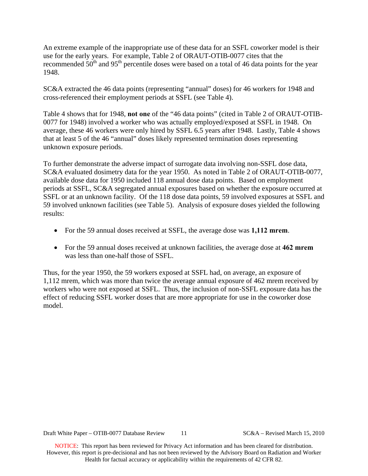An extreme example of the inappropriate use of these data for an SSFL coworker model is their use for the early years. For example, Table 2 of ORAUT-OTIB-0077 cites that the recommended 50<sup>th</sup> and 95<sup>th</sup> percentile doses were based on a total of 46 data points for the year 1948.

SC&A extracted the 46 data points (representing "annual" doses) for 46 workers for 1948 and cross-referenced their employment periods at SSFL (see Table 4).

Table 4 shows that for 1948, **not one** of the "46 data points" (cited in Table 2 of ORAUT-OTIB-0077 for 1948) involved a worker who was actually employed/exposed at SSFL in 1948. On average, these 46 workers were only hired by SSFL 6.5 years after 1948. Lastly, Table 4 shows that at least 5 of the 46 "annual" doses likely represented termination doses representing unknown exposure periods.

To further demonstrate the adverse impact of surrogate data involving non-SSFL dose data, SC&A evaluated dosimetry data for the year 1950. As noted in Table 2 of ORAUT-OTIB-0077, available dose data for 1950 included 118 annual dose data points. Based on employment periods at SSFL, SC&A segregated annual exposures based on whether the exposure occurred at SSFL or at an unknown facility. Of the 118 dose data points, 59 involved exposures at SSFL and 59 involved unknown facilities (see Table 5). Analysis of exposure doses yielded the following results:

- For the 59 annual doses received at SSFL, the average dose was **1,112 mrem**.
- For the 59 annual doses received at unknown facilities, the average dose at **462 mrem** was less than one-half those of SSFL.

Thus, for the year 1950, the 59 workers exposed at SSFL had, on average, an exposure of 1,112 mrem, which was more than twice the average annual exposure of 462 mrem received by workers who were not exposed at SSFL. Thus, the inclusion of non-SSFL exposure data has the effect of reducing SSFL worker doses that are more appropriate for use in the coworker dose model.

Draft White Paper – OTIB-0077 Database Review 11 SC&A – Revised March 15, 2010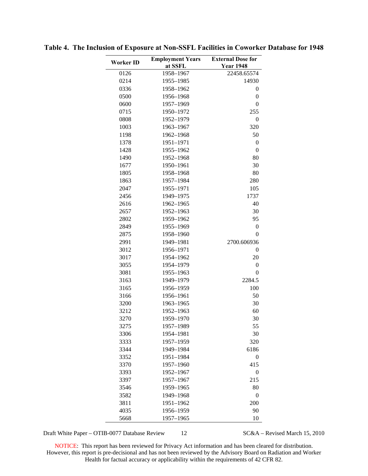| Worker ID    | <b>Employment Years</b><br>at SSFL | <b>External Dose for</b><br><b>Year 1948</b> |
|--------------|------------------------------------|----------------------------------------------|
| 0126         | 1958-1967                          | 22458.65574                                  |
| 0214         | 1955-1985                          | 14930                                        |
| 0336         | 1958-1962                          | 0                                            |
| 0500         | 1956-1968                          | $\boldsymbol{0}$                             |
| 0600         | 1957-1969                          | $\mathbf{0}$                                 |
| 0715         | 1950-1972                          | 255                                          |
| 0808         | 1952-1979                          | $\overline{0}$                               |
| 1003         | 1963-1967                          | 320                                          |
| 1198         | 1962-1968                          | 50                                           |
| 1378         | 1951-1971                          | $\boldsymbol{0}$                             |
| 1428         | 1955-1962                          | $\overline{0}$                               |
| 1490         | 1952-1968                          | 80                                           |
| 1677         | 1950-1961                          | 30                                           |
| 1805         | 1958-1968                          | 80                                           |
| 1863         | 1957-1984                          | 280                                          |
| 2047         | 1955-1971                          | 105                                          |
| 2456         | 1949-1975                          | 1737                                         |
| 2616         | 1962-1965                          | 40                                           |
| 2657         | 1952-1963                          | 30                                           |
| 2802         | 1959-1962                          | 95                                           |
| 2849         | 1955-1969                          | $\boldsymbol{0}$                             |
| 2875         | 1958-1960                          | 0                                            |
| 2991         | 1949-1981                          | 2700.606936                                  |
| 3012         | 1956-1971                          | 0                                            |
| 3017         | 1954-1962                          | 20                                           |
| 3055         | 1954-1979                          | $\boldsymbol{0}$                             |
| 3081         | 1955-1963                          | $\overline{0}$                               |
| 3163         | 1949-1979                          | 2284.5                                       |
| 3165         | 1956-1959                          | 100                                          |
| 3166         | 1956-1961                          | 50                                           |
| 3200         | 1963-1965                          | 30                                           |
| 3212         | 1952-1963                          | 60                                           |
| 3270         | 1959-1970                          | 30                                           |
| 3275         | 1957-1989<br>1954-1981             | 55                                           |
| 3306         |                                    | 30                                           |
| 3333         | 1957-1959<br>1949-1984             | 320                                          |
| 3344<br>3352 | 1951-1984                          | 6186<br>0                                    |
| 3370         | 1957-1960                          | 415                                          |
| 3393         | 1952-1967                          | 0                                            |
| 3397         | 1957-1967                          | 215                                          |
| 3546         | 1959-1965                          | 80                                           |
| 3582         | 1949-1968                          | $\boldsymbol{0}$                             |
| 3811         | 1951-1962                          | 200                                          |
| 4035         | 1956-1959                          | 90                                           |
| 5668         | 1957-1965                          | 10                                           |
|              |                                    |                                              |

**Table 4. The Inclusion of Exposure at Non-SSFL Facilities in Coworker Database for 1948** 

Draft White Paper – OTIB-0077 Database Review 12 SC&A – Revised March 15, 2010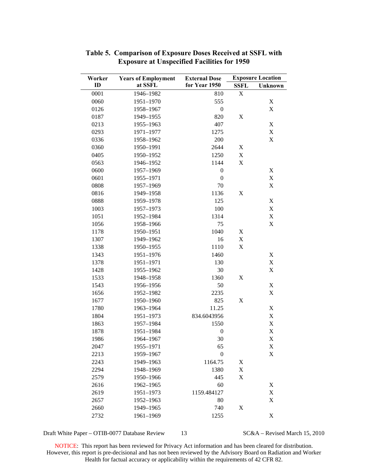| Worker | <b>Years of Employment</b> | <b>External Dose</b> |             | <b>Exposure Location</b>  |
|--------|----------------------------|----------------------|-------------|---------------------------|
| ID     | at SSFL                    | for Year 1950        | <b>SSFL</b> | Unknown                   |
| 0001   | 1946-1982                  | 810                  | X           |                           |
| 0060   | 1951-1970                  | 555                  |             | X                         |
| 0126   | 1958-1967                  | $\boldsymbol{0}$     |             | X                         |
| 0187   | 1949-1955                  | 820                  | X           |                           |
| 0213   | 1955-1963                  | 407                  |             | X                         |
| 0293   | 1971-1977                  | 1275                 |             | X                         |
| 0336   | 1958-1962                  | 200                  |             | $\mathbf X$               |
| 0360   | 1950-1991                  | 2644                 | X           |                           |
| 0405   | 1950-1952                  | 1250                 | X           |                           |
| 0563   | 1946-1952                  | 1144                 | $\mathbf X$ |                           |
| 0600   | 1957-1969                  | $\boldsymbol{0}$     |             | $\mathbf X$               |
| 0601   | 1955-1971                  | $\boldsymbol{0}$     |             | X                         |
| 0808   | 1957-1969                  | 70                   |             | X                         |
| 0816   | 1949-1958                  | 1136                 | X           |                           |
| 0888   | 1959-1978                  | 125                  |             | X                         |
| 1003   | 1957-1973                  | 100                  |             | X                         |
| 1051   | 1952-1984                  | 1314                 |             | X                         |
| 1056   | 1958-1966                  | 75                   |             | $\mathbf X$               |
| 1178   | 1950-1951                  | 1040                 | X           |                           |
| 1307   | 1949-1962                  | 16                   | X           |                           |
| 1338   | 1950-1955                  | 1110                 | $\mathbf X$ |                           |
| 1343   | 1951-1976                  | 1460                 |             | X                         |
| 1378   | 1951-1971                  | 130                  |             | X                         |
| 1428   | 1955-1962                  | 30                   |             | $\mathbf X$               |
| 1533   | 1948-1958                  | 1360                 | X           |                           |
| 1543   | 1956-1956                  | 50                   |             | X                         |
| 1656   | 1952-1982                  | 2235                 |             | X                         |
| 1677   | 1950-1960                  | 825                  | X           |                           |
| 1780   | 1963-1964                  | 11.25                |             | X                         |
| 1804   | 1951-1973                  | 834.6043956          |             | X                         |
| 1863   | 1957-1984                  | 1550                 |             | $\mathbf X$               |
| 1878   | 1951-1984                  | $\boldsymbol{0}$     |             | X                         |
| 1986   | 1964-1967                  | 30                   |             | X                         |
| 2047   | 1955-1971                  | 65                   |             | X                         |
| 2213   | 1959-1967                  | $\boldsymbol{0}$     |             | X                         |
| 2243   | 1949-1963                  | 1164.75              | X           |                           |
| 2294   | 1948-1969                  | 1380                 | $\mathbf X$ |                           |
| 2579   | 1950-1966                  | 445                  | X           |                           |
| 2616   | 1962-1965                  | 60                   |             | X                         |
| 2619   | 1951-1973                  | 1159.484127          |             | X                         |
| 2657   | 1952-1963                  | 80                   |             | $\boldsymbol{\mathrm{X}}$ |
| 2660   | 1949-1965                  | 740                  | X           |                           |
| 2732   | 1961-1969                  | 1255                 |             | $\boldsymbol{\mathrm{X}}$ |

#### **Table 5. Comparison of Exposure Doses Received at SSFL with Exposure at Unspecified Facilities for 1950**

Draft White Paper – OTIB-0077 Database Review 13 SC&A – Revised March 15, 2010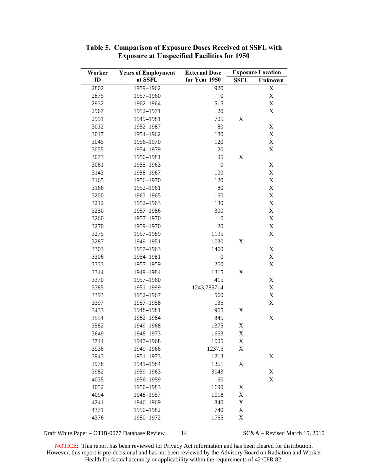| Worker | <b>Years of Employment</b> | <b>External Dose</b> |                           | <b>Exposure Location</b>  |
|--------|----------------------------|----------------------|---------------------------|---------------------------|
| ID     | at SSFL                    | for Year 1950        | <b>SSFL</b>               | Unknown                   |
| 2802   | 1959-1962                  | 920                  |                           | X                         |
| 2875   | 1957-1960                  | $\boldsymbol{0}$     |                           | $\mathbf X$               |
| 2932   | 1962-1964                  | 515                  |                           | $\mathbf X$               |
| 2967   | 1952-1971                  | 20                   |                           | $\mathbf X$               |
| 2991   | 1949-1981                  | 705                  | $\boldsymbol{\mathrm{X}}$ |                           |
| 3012   | 1952-1987                  | 80                   |                           | $\mathbf X$               |
| 3017   | 1954-1962                  | 180                  |                           | X                         |
| 3045   | 1956-1970                  | 120                  |                           | X                         |
| 3055   | 1954-1979                  | 20                   |                           | $\mathbf X$               |
| 3073   | 1950-1981                  | 95                   | $\mathbf X$               |                           |
| 3081   | 1955-1963                  | $\boldsymbol{0}$     |                           | X                         |
| 3143   | 1958-1967                  | 100                  |                           | X                         |
| 3165   | 1956-1970                  | 120                  |                           | $\mathbf X$               |
| 3166   | 1952-1961                  | 80                   |                           | $\mathbf X$               |
| 3200   | 1963-1965                  | 160                  |                           | X                         |
| 3212   | 1952-1963                  | 130                  |                           | X                         |
| 3250   | 1957-1986                  | 300                  |                           | $\mathbf X$               |
| 3260   | 1957-1970                  | $\mathbf{0}$         |                           | $\mathbf X$               |
| 3270   | 1959-1970                  | 20                   |                           | X                         |
| 3275   | 1957-1989                  | 1195                 |                           | $\mathbf X$               |
| 3287   | 1949-1951                  | 1030                 | X                         |                           |
| 3303   | 1957-1963                  | 1460                 |                           | $\mathbf X$               |
| 3306   | 1954-1981                  | $\boldsymbol{0}$     |                           | X                         |
| 3333   | 1957-1959                  | 260                  |                           | X                         |
| 3344   | 1949-1984                  | 1315                 | X                         |                           |
| 3370   | 1957-1960                  | 415                  |                           | X                         |
| 3385   | 1951-1999                  | 1243.785714          |                           | X                         |
| 3393   | 1952-1967                  | 560                  |                           | $\mathbf X$               |
| 3397   | 1957-1958                  | 135                  |                           | $\mathbf X$               |
| 3433   | 1948-1981                  | 965                  | X                         |                           |
| 3554   | 1982-1984                  | 845                  |                           | $\boldsymbol{\mathrm{X}}$ |
| 3582   | 1949-1968                  | 1375                 | $\mathbf X$               |                           |
| 3649   | 1948-1973                  | 1663                 | $\mathbf X$               |                           |
| 3744   | 1947-1968                  | 1005                 | X                         |                           |
| 3936   | 1949-1966                  | 1237.5               | $\boldsymbol{\mathrm{X}}$ |                           |
| 3943   | 1951-1973                  | 1213                 |                           | $\boldsymbol{\mathrm{X}}$ |
| 3978   | 1941-1984                  | 1351                 | $\mathbf X$               |                           |
| 3982   | 1959-1963                  | 3043                 |                           | $\mathbf X$               |
| 4035   | 1956-1959                  | 60                   |                           | X                         |
| 4052   | 1950-1983                  | 1690                 | X                         |                           |
| 4094   | 1948-1957                  | 1018                 | X                         |                           |
| 4241   | 1946-1969                  | 840                  | X                         |                           |
| 4371   | 1950-1982                  | 740                  | X                         |                           |
| 4376   | 1950-1972                  | 1765                 | $\mathbf X$               |                           |

**Table 5. Comparison of Exposure Doses Received at SSFL with Exposure at Unspecified Facilities for 1950** 

Draft White Paper – OTIB-0077 Database Review 14 SC&A – Revised March 15, 2010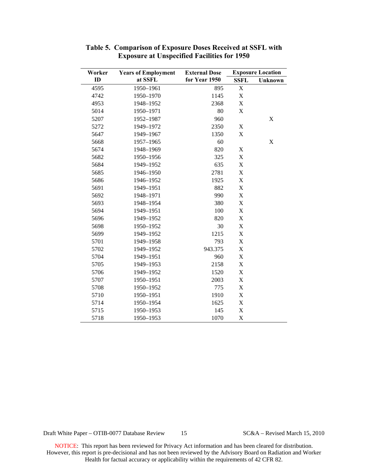| Worker | <b>Years of Employment</b> | <b>External Dose</b> |                           | <b>Exposure Location</b> |
|--------|----------------------------|----------------------|---------------------------|--------------------------|
| ID     | at SSFL                    | for Year 1950        | <b>SSFL</b>               | Unknown                  |
| 4595   | 1950-1961                  | 895                  | X                         |                          |
| 4742   | 1950-1970                  | 1145                 | X                         |                          |
| 4953   | 1948-1952                  | 2368                 | X                         |                          |
| 5014   | 1950-1971                  | 80                   | $\mathbf X$               |                          |
| 5207   | 1952-1987                  | 960                  |                           | $\mathbf X$              |
| 5272   | 1949-1972                  | 2350                 | $\mathbf X$               |                          |
| 5647   | 1949-1967                  | 1350                 | $\boldsymbol{\mathrm{X}}$ |                          |
| 5668   | 1957-1965                  | 60                   |                           | X                        |
| 5674   | 1948-1969                  | 820                  | $\boldsymbol{\mathrm{X}}$ |                          |
| 5682   | 1950-1956                  | 325                  | $\boldsymbol{\mathrm{X}}$ |                          |
| 5684   | 1949-1952                  | 635                  | X                         |                          |
| 5685   | 1946-1950                  | 2781                 | X                         |                          |
| 5686   | 1946-1952                  | 1925                 | $\boldsymbol{\mathrm{X}}$ |                          |
| 5691   | 1949-1951                  | 882                  | $\mathbf X$               |                          |
| 5692   | 1948-1971                  | 990                  | X                         |                          |
| 5693   | 1948-1954                  | 380                  | $\mathbf X$               |                          |
| 5694   | 1949-1951                  | 100                  | $\boldsymbol{\mathrm{X}}$ |                          |
| 5696   | 1949-1952                  | 820                  | $\mathbf X$               |                          |
| 5698   | 1950-1952                  | 30                   | X                         |                          |
| 5699   | 1949-1952                  | 1215                 | X                         |                          |
| 5701   | 1949-1958                  | 793                  | $\mathbf X$               |                          |
| 5702   | 1949-1952                  | 943.375              | X                         |                          |
| 5704   | 1949-1951                  | 960                  | X                         |                          |
| 5705   | 1949-1953                  | 2158                 | $\mathbf X$               |                          |
| 5706   | 1949-1952                  | 1520                 | $\mathbf X$               |                          |
| 5707   | 1950-1951                  | 2003                 | $\mathbf X$               |                          |
| 5708   | 1950-1952                  | 775                  | X                         |                          |
| 5710   | 1950-1951                  | 1910                 | X                         |                          |
| 5714   | 1950-1954                  | 1625                 | X                         |                          |
| 5715   | 1950-1953                  | 145                  | $\mathbf X$               |                          |
| 5718   | 1950-1953                  | 1070                 | X                         |                          |

**Table 5. Comparison of Exposure Doses Received at SSFL with Exposure at Unspecified Facilities for 1950** 

Draft White Paper – OTIB-0077 Database Review 15 SC&A – Revised March 15, 2010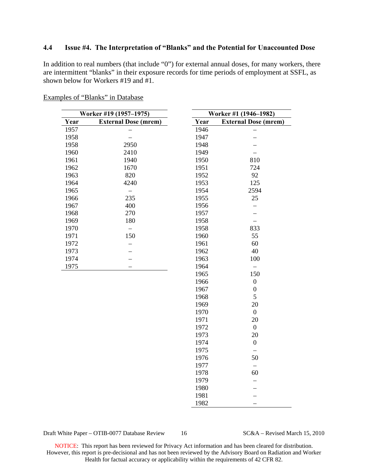#### <span id="page-15-0"></span>**4.4 Issue #4. The Interpretation of "Blanks" and the Potential for Unaccounted Dose**

In addition to real numbers (that include "0") for external annual doses, for many workers, there are intermittent "blanks" in their exposure records for time periods of employment at SSFL, as shown below for Workers #19 and #1.

| Examples of "Blanks" in Database |  |
|----------------------------------|--|
|----------------------------------|--|

| Worker #19 (1957-1975) |                             |      | Worker #1 (1946-1982)       |
|------------------------|-----------------------------|------|-----------------------------|
| Year                   | <b>External Dose (mrem)</b> | Year | <b>External Dose (mrem)</b> |
| 1957                   |                             | 1946 |                             |
| 1958                   |                             | 1947 |                             |
| 1958                   | 2950                        | 1948 |                             |
| 1960                   | 2410                        | 1949 |                             |
| 1961                   | 1940                        | 1950 | 810                         |
| 1962                   | 1670                        | 1951 | 724                         |
| 1963                   | 820                         | 1952 | 92                          |
| 1964                   | 4240                        | 1953 | 125                         |
| 1965                   |                             | 1954 | 2594                        |
| 1966                   | 235                         | 1955 | 25                          |
| 1967                   | 400                         | 1956 |                             |
| 1968                   | 270                         | 1957 |                             |
| 1969                   | 180                         | 1958 |                             |
| 1970                   | —                           | 1958 | 833                         |
| 1971                   | 150                         | 1960 | 55                          |
| 1972                   |                             | 1961 | 60                          |
| 1973                   |                             | 1962 | 40                          |
| 1974                   |                             | 1963 | 100                         |
| 1975                   |                             | 1964 |                             |
|                        |                             | 1965 | 150                         |
|                        |                             | 1966 | $\boldsymbol{0}$            |
|                        |                             | 1967 | $\boldsymbol{0}$            |
|                        |                             | 1968 | 5                           |
|                        |                             | 1969 | 20                          |
|                        |                             | 1970 | $\boldsymbol{0}$            |
|                        |                             | 1971 | 20                          |
|                        |                             | 1972 | $\boldsymbol{0}$            |
|                        |                             | 1973 | 20                          |
|                        |                             | 1974 | $\boldsymbol{0}$            |
|                        |                             | 1975 |                             |
|                        |                             | 1976 | 50                          |
|                        |                             | 1977 | $\overline{\phantom{0}}$    |
|                        |                             | 1978 | 60                          |
|                        |                             | 1979 |                             |
|                        |                             | 1980 |                             |
|                        |                             | 1981 |                             |

Draft White Paper – OTIB-0077 Database Review 16 SC&A – Revised March 15, 2010

1982 –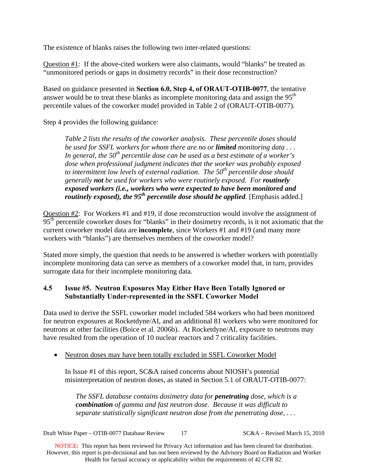The existence of blanks raises the following two inter-related questions:

Question #1: If the above-cited workers were also claimants, would "blanks" be treated as "unmonitored periods or gaps in dosimetry records" in their dose reconstruction?

Based on guidance presented in **Section 6.0, Step 4, of ORAUT-OTIB-0077**, the tentative answer would be to treat these blanks as incomplete monitoring data and assign the 95<sup>th</sup> percentile values of the coworker model provided in Table 2 of (ORAUT-OTIB-0077).

Step 4 provides the following guidance:

*Table 2 lists the results of the coworker analysis. These percentile doses should be used for SSFL workers for whom there are no or limited monitoring data . . . In general, the 50th percentile dose can be used as a best estimate of a worker's dose when professional judgment indicates that the worker was probably exposed to intermittent low levels of external radiation. The 50th percentile dose should generally not be used for workers who were routinely exposed. For routinely exposed workers (i.e., workers who were expected to have been monitored and routinely exposed), the 95<sup>th</sup> percentile dose should be applied.* [Emphasis added.]

Question #2: For Workers #1 and #19, if dose reconstruction would involve the assignment of 95<sup>th</sup> percentile coworker doses for "blanks" in their dosimetry records, is it not axiomatic that the current coworker model data are **incomplete**, since Workers #1 and #19 (and many more workers with "blanks") are themselves members of the coworker model?

Stated more simply, the question that needs to be answered is whether workers with potentially incomplete monitoring data can serve as members of a coworker model that, in turn, provides surrogate data for their incomplete monitoring data.

### <span id="page-16-0"></span>**4.5 Issue #5. Neutron Exposures May Either Have Been Totally Ignored or Substantially Under-represented in the SSFL Coworker Model**

Data used to derive the SSFL coworker model included 584 workers who had been monitored for neutron exposures at Rocketdyne/AI, and an additional 81 workers who were monitored for neutrons at other facilities (Boice et al. 2006b). At Rocketdyne/AI, exposure to neutrons may have resulted from the operation of 10 nuclear reactors and 7 criticality facilities.

• Neutron doses may have been totally excluded in SSFL Coworker Model

In Issue #1 of this report, SC&A raised concerns about NIOSH's potential misinterpretation of neutron doses, as stated in Section 5.1 of ORAUT-OTIB-0077:

*The SSFL database contains dosimetry data for penetrating dose, which is a combination of gamma and fast neutron dose. Because it was difficult to separate statistically significant neutron dose from the penetrating dose, . . .* 

Draft White Paper – OTIB-0077 Database Review 17 SC&A – Revised March 15, 2010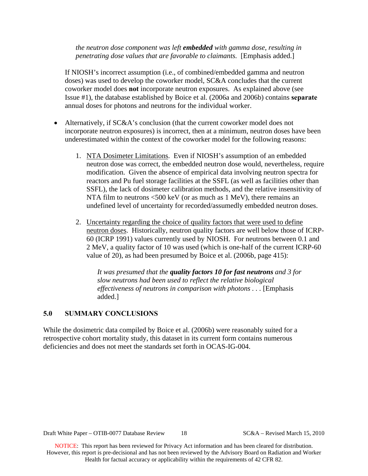*the neutron dose component was left embedded with gamma dose, resulting in penetrating dose values that are favorable to claimants.* [Emphasis added.]

If NIOSH's incorrect assumption (i.e., of combined/embedded gamma and neutron doses) was used to develop the coworker model, SC&A concludes that the current coworker model does **not** incorporate neutron exposures. As explained above (see Issue #1), the database established by Boice et al. (2006a and 2006b) contains **separate** annual doses for photons and neutrons for the individual worker.

- Alternatively, if SC&A's conclusion (that the current coworker model does not incorporate neutron exposures) is incorrect, then at a minimum, neutron doses have been underestimated within the context of the coworker model for the following reasons:
	- 1. NTA Dosimeter Limitations. Even if NIOSH's assumption of an embedded neutron dose was correct, the embedded neutron dose would, nevertheless, require modification. Given the absence of empirical data involving neutron spectra for reactors and Pu fuel storage facilities at the SSFL (as well as facilities other than SSFL), the lack of dosimeter calibration methods, and the relative insensitivity of NTA film to neutrons <500 keV (or as much as 1 MeV), there remains an undefined level of uncertainty for recorded/assumedly embedded neutron doses.
	- 2. Uncertainty regarding the choice of quality factors that were used to define neutron doses. Historically, neutron quality factors are well below those of ICRP-60 (ICRP 1991) values currently used by NIOSH. For neutrons between 0.1 and 2 MeV, a quality factor of 10 was used (which is one-half of the current ICRP-60 value of 20), as had been presumed by Boice et al. (2006b, page 415):

*It was presumed that the quality factors 10 for fast neutrons and 3 for slow neutrons had been used to reflect the relative biological effectiveness of neutrons in comparison with photons . . .* [Emphasis added.]

#### <span id="page-17-0"></span>**5.0 SUMMARY CONCLUSIONS**

While the dosimetric data compiled by Boice et al. (2006b) were reasonably suited for a retrospective cohort mortality study, this dataset in its current form contains numerous deficiencies and does not meet the standards set forth in OCAS-IG-004.